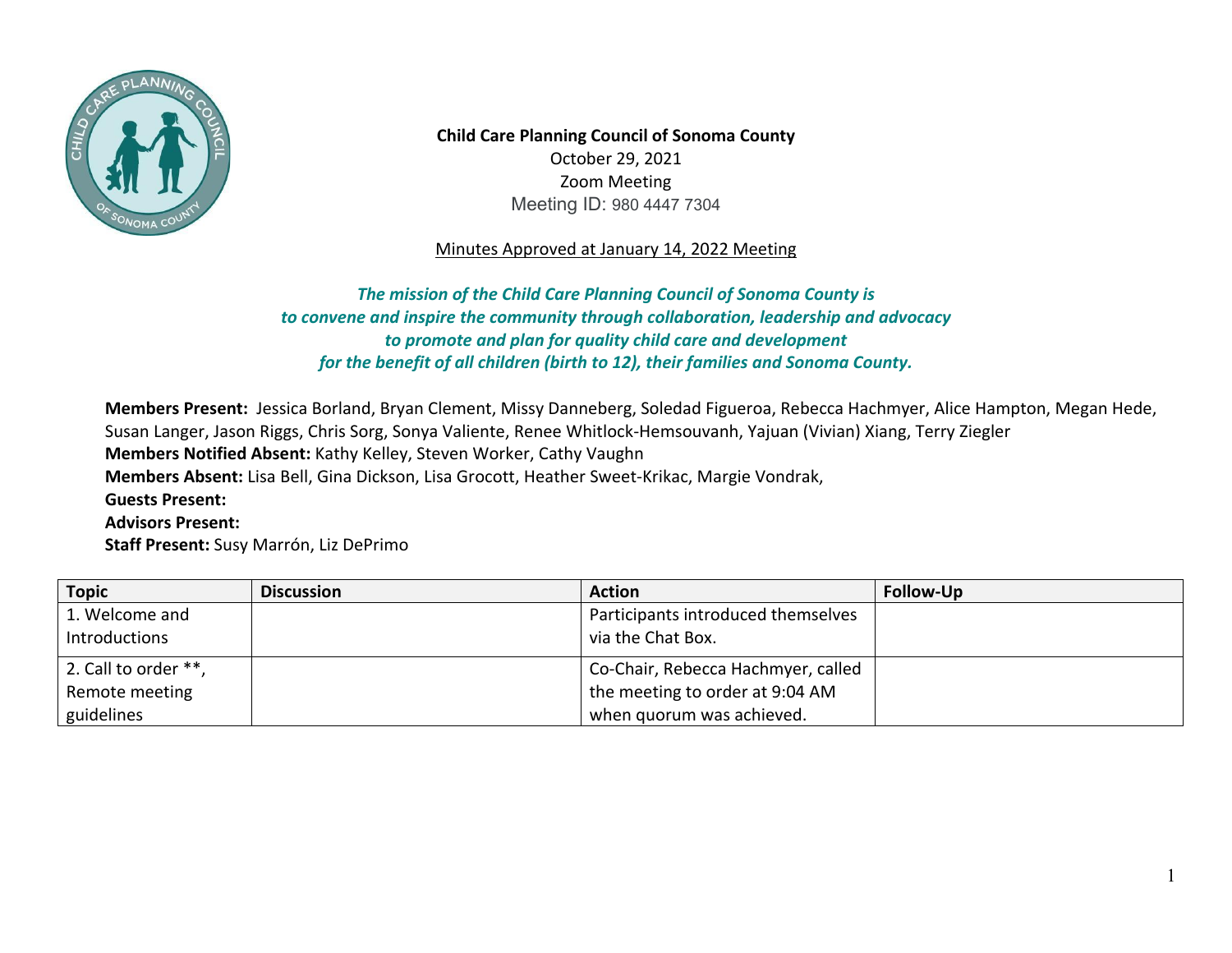

**Child Care Planning Council of Sonoma County**  October 29, 2021 Zoom Meeting Meeting ID: 980 4447 7304

## Minutes Approved at January 14, 2022 Meeting

## *to convene and inspire the community through collaboration, leadership and advocacy The mission of the Child Care Planning Council of Sonoma County is to promote and plan for quality child care and development for the benefit of all children (birth to 12), their families and Sonoma County.*

**Members Present:** Jessica Borland, Bryan Clement, Missy Danneberg, Soledad Figueroa, Rebecca Hachmyer, Alice Hampton, Megan Hede, Susan Langer, Jason Riggs, Chris Sorg, Sonya Valiente, Renee Whitlock-Hemsouvanh, Yajuan (Vivian) Xiang, Terry Ziegler **Members Notified Absent:** Kathy Kelley, Steven Worker, Cathy Vaughn **Members Absent:** Lisa Bell, Gina Dickson, Lisa Grocott, Heather Sweet-Krikac, Margie Vondrak, **Guests Present: Advisors Present: Staff Present:** Susy Marrón, Liz DePrimo

| <b>Topic</b>                                         | <b>Discussion</b> | <b>Action</b>                                                                                      | Follow-Up |
|------------------------------------------------------|-------------------|----------------------------------------------------------------------------------------------------|-----------|
| 1. Welcome and<br>Introductions                      |                   | Participants introduced themselves<br>via the Chat Box.                                            |           |
| 2. Call to order **,<br>Remote meeting<br>guidelines |                   | Co-Chair, Rebecca Hachmyer, called<br>the meeting to order at 9:04 AM<br>when quorum was achieved. |           |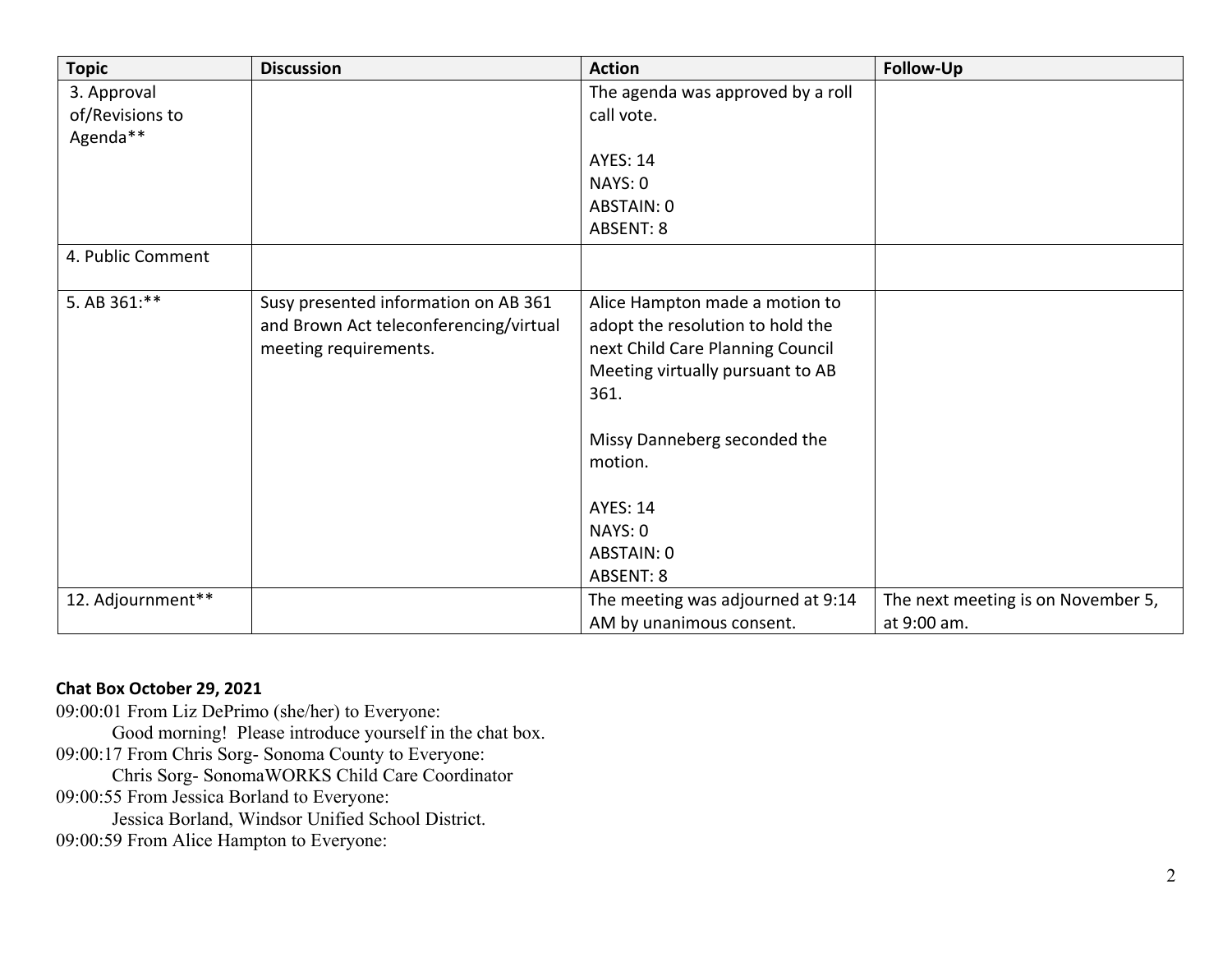| <b>Topic</b>      | <b>Discussion</b>                                                                                       | <b>Action</b>                                                                                                                                                                                                    | Follow-Up                          |
|-------------------|---------------------------------------------------------------------------------------------------------|------------------------------------------------------------------------------------------------------------------------------------------------------------------------------------------------------------------|------------------------------------|
| 3. Approval       |                                                                                                         | The agenda was approved by a roll                                                                                                                                                                                |                                    |
| of/Revisions to   |                                                                                                         | call vote.                                                                                                                                                                                                       |                                    |
| Agenda**          |                                                                                                         |                                                                                                                                                                                                                  |                                    |
|                   |                                                                                                         | <b>AYES: 14</b>                                                                                                                                                                                                  |                                    |
|                   |                                                                                                         | NAYS: 0                                                                                                                                                                                                          |                                    |
|                   |                                                                                                         | ABSTAIN: 0                                                                                                                                                                                                       |                                    |
|                   |                                                                                                         | ABSENT: 8                                                                                                                                                                                                        |                                    |
| 4. Public Comment |                                                                                                         |                                                                                                                                                                                                                  |                                    |
| 5. AB 361:**      | Susy presented information on AB 361<br>and Brown Act teleconferencing/virtual<br>meeting requirements. | Alice Hampton made a motion to<br>adopt the resolution to hold the<br>next Child Care Planning Council<br>Meeting virtually pursuant to AB<br>361.<br>Missy Danneberg seconded the<br>motion.<br><b>AYES: 14</b> |                                    |
|                   |                                                                                                         | NAYS: 0                                                                                                                                                                                                          |                                    |
|                   |                                                                                                         | ABSTAIN: 0                                                                                                                                                                                                       |                                    |
|                   |                                                                                                         | ABSENT: 8                                                                                                                                                                                                        |                                    |
| 12. Adjournment** |                                                                                                         | The meeting was adjourned at 9:14                                                                                                                                                                                | The next meeting is on November 5, |
|                   |                                                                                                         | AM by unanimous consent.                                                                                                                                                                                         | at 9:00 am.                        |

## **Chat Box October 29, 2021**

 Good morning! Please introduce yourself in the chat box. 09:00:01 From Liz DePrimo (she/her) to Everyone: 09:00:17 From Chris Sorg- Sonoma County to Everyone: Chris Sorg- SonomaWORKS Child Care Coordinator 09:00:55 From Jessica Borland to Everyone: Jessica Borland, Windsor Unified School District. 09:00:59 From Alice Hampton to Everyone: